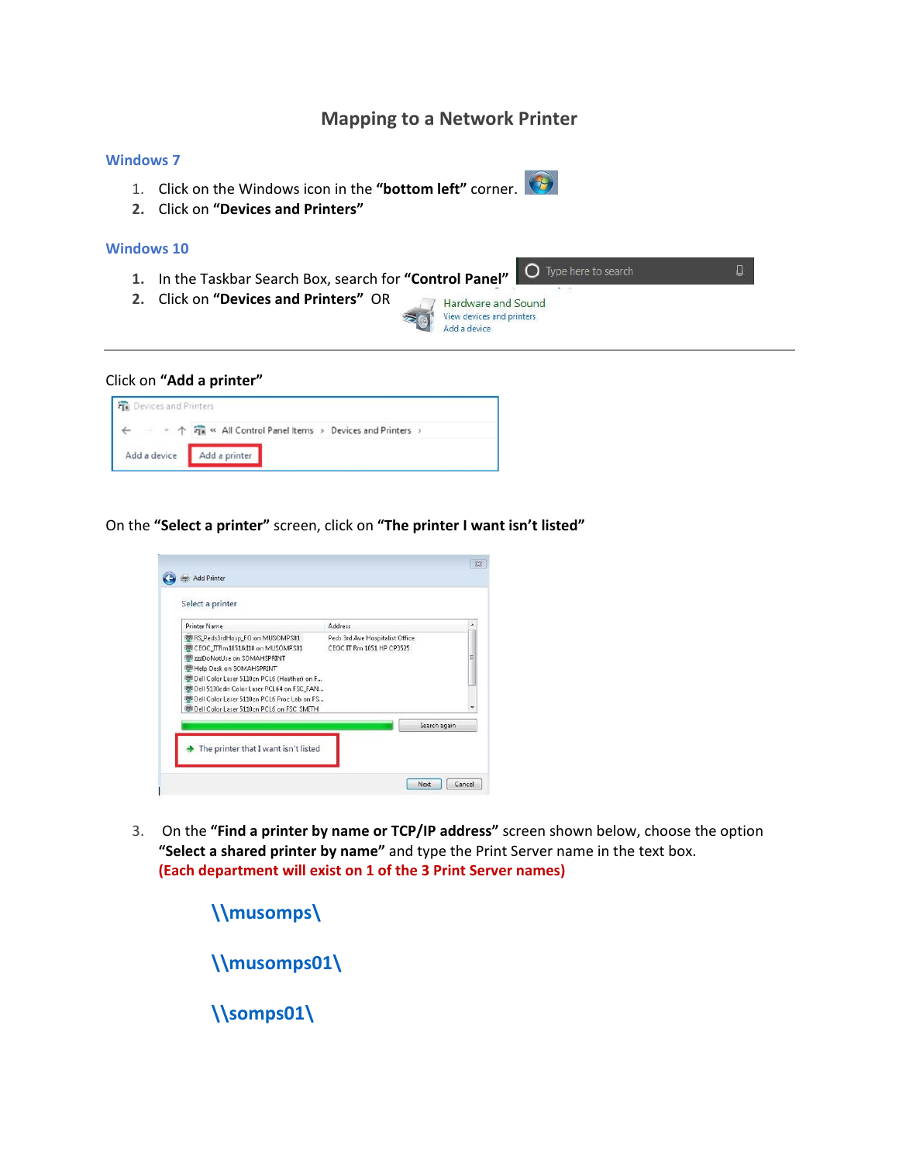## **Mapping to a Network Printer**

## **Windows 7**

- 1. Click on the Windows icon in the **"bottom left"** corner.
- **2.** Click on **"Devices and Printers"**

## **Windows 10**

- **1.** In the Taskbar Search Box, search for **"Control Panel"**
- **2.** Click on **"Devices and Printers"** OR



## Click on **"Add a printer"**



On the **"Select a printer"** screen, click on **"The printer I want isn't listed"** 

| <b>Printer Name</b>                                                     | Address                         |
|-------------------------------------------------------------------------|---------------------------------|
| RS_Peds3rdHosp_FO on MUSOMPS01                                          | Peds 3rd Ave Hospitalist Office |
| CEOC_ITRm1051JkI18 on MUSOMPS01                                         | CEOC IT Rm 1051 HP CP3525       |
| <b>ED 777DoNotLise on SOMAHSPRINT</b>                                   |                                 |
| Help Desk on SOMAHSPRINT<br>Dell Color Laser 5110cn PCL6 (Heather) on F |                                 |
| Dell 5130cdn Color Laser PCL64 on FSC_FAN                               |                                 |
| <sup>第1</sup> Dell Color Laser 5110cn PCL6 Proc Lab on FS               |                                 |
| Dell Color Laser 5110cn PCL6 on FSC SMITH                               |                                 |
|                                                                         | Search again                    |
|                                                                         |                                 |

3. On the **"Find a printer by name or TCP/IP address"** screen shown below, choose the option **"Select a shared printer by name"** and type the Print Server name in the text box. **(Each department will exist on 1 of the 3 Print Server names)**